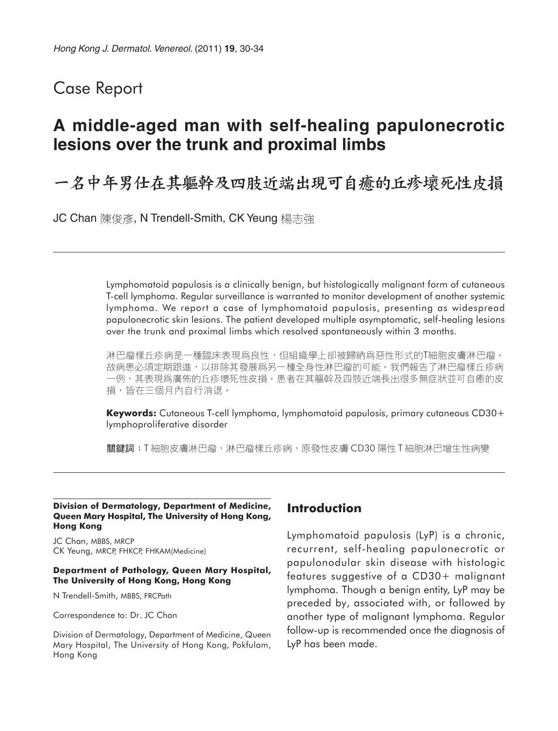## Case Report

# **A middle-aged man with self-healing papulonecrotic lesions over the trunk and proximal limbs**

## 一名中年男仕在其軀幹及四肢近端出現可自癒的丘疹壞死性皮損

JC Chan 陳俊彥, N Trendell-Smith, CK Yeung 楊志強

Lymphomatoid papulosis is a clinically benign, but histologically malignant form of cutaneous T-cell lymphoma. Regular surveillance is warranted to monitor development of another systemic lymphoma. We report a case of lymphomatoid papulosis, presenting as widespread papulonecrotic skin lesions. The patient developed multiple asymptomatic, self-healing lesions over the trunk and proximal limbs which resolved spontaneously within 3 months.

淋巴瘤樣丘疹病是一種臨床表現爲良性,但組織學上卻被歸納爲惡性形式的T細胞皮膚淋巴瘤。 故病患必須定期跟進,以排除其發展爲另一種全身性淋巴瘤的可能。我們報告了淋巴瘤樣丘疹病 一例,其表現爲廣佈的丘疹壞死性皮損。患者在其軀幹及四肢近端長出很多無症狀並可自癒的皮 損,皆在三個月內自行消退。

**Keywords:** Cutaneous T-cell lymphoma, lymphomatoid papulosis, primary cutaneous CD30+ lymphoproliferative disorder

關鍵詞:T 細胞皮膚淋巴瘤,淋巴瘤樣丘疹病,原發性皮膚 CD30 陽性 T 細胞淋巴增生性病變

#### **Division of Dermatology, Department of Medicine, Queen Mary Hospital, The University of Hong Kong, Hong Kong**

JC Chan, MBBS, MRCP CK Yeung, MRCP, FHKCP, FHKAM(Medicine)

#### **Department of Pathology, Queen Mary Hospital, The University of Hong Kong, Hong Kong**

N Trendell-Smith, MBBS, FRCPath

Correspondence to: Dr. JC Chan

Division of Dermatology, Department of Medicine, Queen Mary Hospital, The University of Hong Kong, Pokfulam, Hong Kong

## **Introduction**

Lymphomatoid papulosis (LyP) is a chronic, recurrent, self-healing papulonecrotic or papulonodular skin disease with histologic features suggestive of a CD30+ malignant lymphoma. Though a benign entity, LyP may be preceded by, associated with, or followed by another type of malignant lymphoma. Regular follow-up is recommended once the diagnosis of LyP has been made.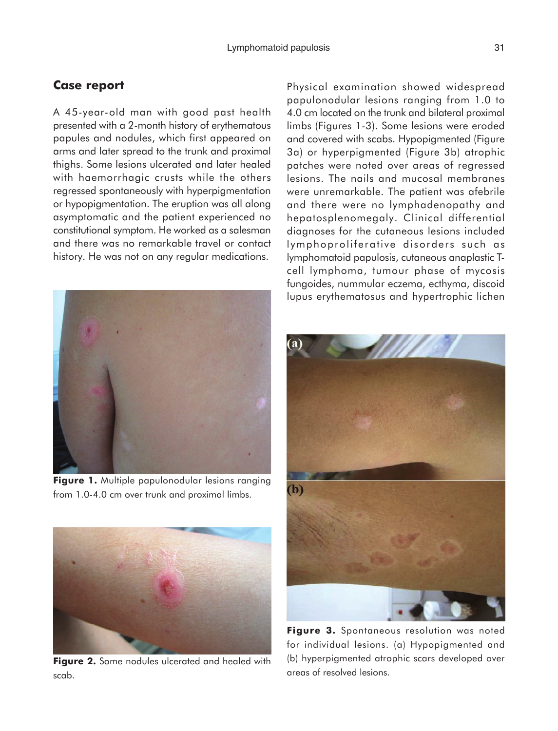### **Case report**

A 45-year-old man with good past health presented with a 2-month history of erythematous papules and nodules, which first appeared on arms and later spread to the trunk and proximal thighs. Some lesions ulcerated and later healed with haemorrhagic crusts while the others regressed spontaneously with hyperpigmentation or hypopigmentation. The eruption was all along asymptomatic and the patient experienced no constitutional symptom. He worked as a salesman and there was no remarkable travel or contact history. He was not on any regular medications.



**Figure 1.** Multiple papulonodular lesions ranging from 1.0-4.0 cm over trunk and proximal limbs.



**Figure 2.** Some nodules ulcerated and healed with scab.

Physical examination showed widespread papulonodular lesions ranging from 1.0 to 4.0 cm located on the trunk and bilateral proximal limbs (Figures 1-3). Some lesions were eroded and covered with scabs. Hypopigmented (Figure 3a) or hyperpigmented (Figure 3b) atrophic patches were noted over areas of regressed lesions. The nails and mucosal membranes were unremarkable. The patient was afebrile and there were no lymphadenopathy and hepatosplenomegaly. Clinical differential diagnoses for the cutaneous lesions included lymphoproliferative disorders such as lymphomatoid papulosis, cutaneous anaplastic Tcell lymphoma, tumour phase of mycosis fungoides, nummular eczema, ecthyma, discoid lupus erythematosus and hypertrophic lichen



Figure 3. Spontaneous resolution was noted for individual lesions. (a) Hypopigmented and (b) hyperpigmented atrophic scars developed over areas of resolved lesions.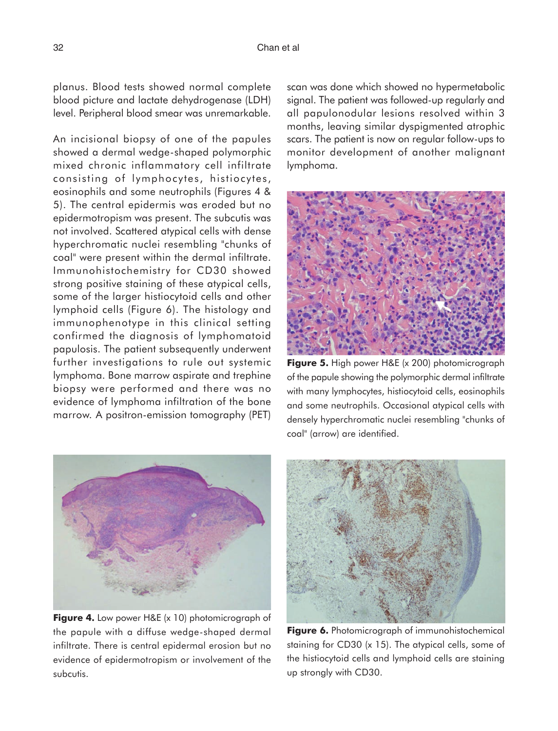planus. Blood tests showed normal complete blood picture and lactate dehydrogenase (LDH) level. Peripheral blood smear was unremarkable.

An incisional biopsy of one of the papules showed a dermal wedge-shaped polymorphic mixed chronic inflammatory cell infiltrate consisting of lymphocytes, histiocytes, eosinophils and some neutrophils (Figures 4 & 5). The central epidermis was eroded but no epidermotropism was present. The subcutis was not involved. Scattered atypical cells with dense hyperchromatic nuclei resembling "chunks of coal" were present within the dermal infiltrate. Immunohistochemistry for CD30 showed strong positive staining of these atypical cells, some of the larger histiocytoid cells and other lymphoid cells (Figure 6). The histology and immunophenotype in this clinical setting confirmed the diagnosis of lymphomatoid papulosis. The patient subsequently underwent further investigations to rule out systemic lymphoma. Bone marrow aspirate and trephine biopsy were performed and there was no evidence of lymphoma infiltration of the bone marrow. A positron-emission tomography (PET)



**Figure 4.** Low power H&E (x 10) photomicrograph of the papule with a diffuse wedge-shaped dermal infiltrate. There is central epidermal erosion but no evidence of epidermotropism or involvement of the subcutis.

scan was done which showed no hypermetabolic signal. The patient was followed-up regularly and all papulonodular lesions resolved within 3 months, leaving similar dyspigmented atrophic scars. The patient is now on regular follow-ups to monitor development of another malignant lymphoma.



**Figure 5.** High power H&E (x 200) photomicrograph of the papule showing the polymorphic dermal infiltrate with many lymphocytes, histiocytoid cells, eosinophils and some neutrophils. Occasional atypical cells with densely hyperchromatic nuclei resembling "chunks of coal" (arrow) are identified.



**Figure 6.** Photomicrograph of immunohistochemical staining for CD30 (x 15). The atypical cells, some of the histiocytoid cells and lymphoid cells are staining up strongly with CD30.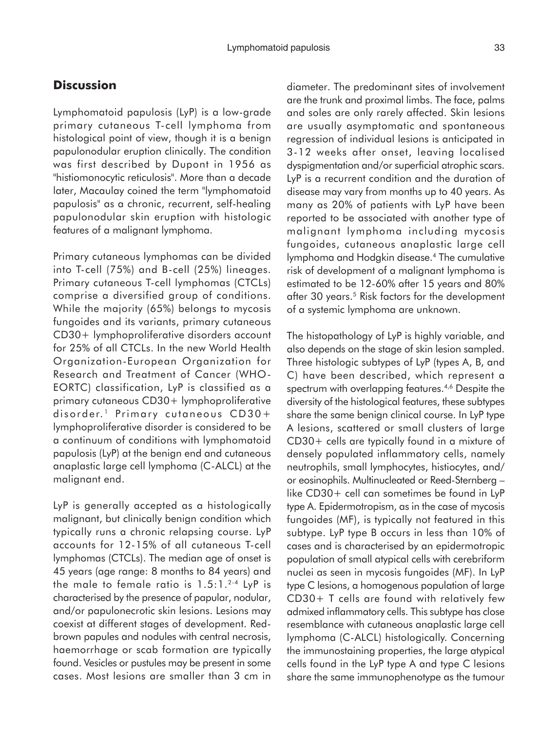### **Discussion**

Lymphomatoid papulosis (LyP) is a low-grade primary cutaneous T-cell lymphoma from histological point of view, though it is a benign papulonodular eruption clinically. The condition was first described by Dupont in 1956 as "histiomonocytic reticulosis". More than a decade later, Macaulay coined the term "lymphomatoid papulosis" as a chronic, recurrent, self-healing papulonodular skin eruption with histologic features of a malignant lymphoma.

Primary cutaneous lymphomas can be divided into T-cell (75%) and B-cell (25%) lineages. Primary cutaneous T-cell lymphomas (CTCLs) comprise a diversified group of conditions. While the majority (65%) belongs to mycosis fungoides and its variants, primary cutaneous CD30+ lymphoproliferative disorders account for 25% of all CTCLs. In the new World Health Organization-European Organization for Research and Treatment of Cancer (WHO-EORTC) classification, LyP is classified as a primary cutaneous CD30+ lymphoproliferative disorder.<sup>1</sup> Primary cutaneous CD30+ lymphoproliferative disorder is considered to be a continuum of conditions with lymphomatoid papulosis (LyP) at the benign end and cutaneous anaplastic large cell lymphoma (C-ALCL) at the malignant end.

LyP is generally accepted as a histologically malignant, but clinically benign condition which typically runs a chronic relapsing course. LyP accounts for 12-15% of all cutaneous T-cell lymphomas (CTCLs). The median age of onset is 45 years (age range: 8 months to 84 years) and the male to female ratio is  $1.5:1.^{2.4}$  LyP is characterised by the presence of papular, nodular, and/or papulonecrotic skin lesions. Lesions may coexist at different stages of development. Redbrown papules and nodules with central necrosis, haemorrhage or scab formation are typically found. Vesicles or pustules may be present in some cases. Most lesions are smaller than 3 cm in

diameter. The predominant sites of involvement are the trunk and proximal limbs. The face, palms and soles are only rarely affected. Skin lesions are usually asymptomatic and spontaneous regression of individual lesions is anticipated in 3-12 weeks after onset, leaving localised dyspigmentation and/or superficial atrophic scars. LyP is a recurrent condition and the duration of disease may vary from months up to 40 years. As many as 20% of patients with LyP have been reported to be associated with another type of malignant lymphoma including mycosis fungoides, cutaneous anaplastic large cell lymphoma and Hodgkin disease.4 The cumulative risk of development of a malignant lymphoma is estimated to be 12-60% after 15 years and 80% after 30 years.<sup>5</sup> Risk factors for the development of a systemic lymphoma are unknown.

The histopathology of LyP is highly variable, and also depends on the stage of skin lesion sampled. Three histologic subtypes of LyP (types A, B, and C) have been described, which represent a spectrum with overlapping features.4,6 Despite the diversity of the histological features, these subtypes share the same benign clinical course. In LyP type A lesions, scattered or small clusters of large CD30+ cells are typically found in a mixture of densely populated inflammatory cells, namely neutrophils, small lymphocytes, histiocytes, and/ or eosinophils. Multinucleated or Reed-Sternberg – like CD30+ cell can sometimes be found in LyP type A. Epidermotropism, as in the case of mycosis fungoides (MF), is typically not featured in this subtype. LyP type B occurs in less than 10% of cases and is characterised by an epidermotropic population of small atypical cells with cerebriform nuclei as seen in mycosis fungoides (MF). In LyP type C lesions, a homogenous population of large CD30+ T cells are found with relatively few admixed inflammatory cells. This subtype has close resemblance with cutaneous anaplastic large cell lymphoma (C-ALCL) histologically. Concerning the immunostaining properties, the large atypical cells found in the LyP type A and type C lesions share the same immunophenotype as the tumour